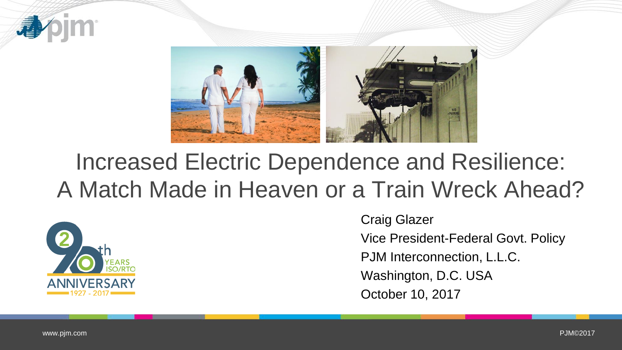



# Increased Electric Dependence and Resilience: A Match Made in Heaven or a Train Wreck Ahead?



Craig Glazer Vice President-Federal Govt. Policy PJM Interconnection, L.L.C. Washington, D.C. USA October 10, 2017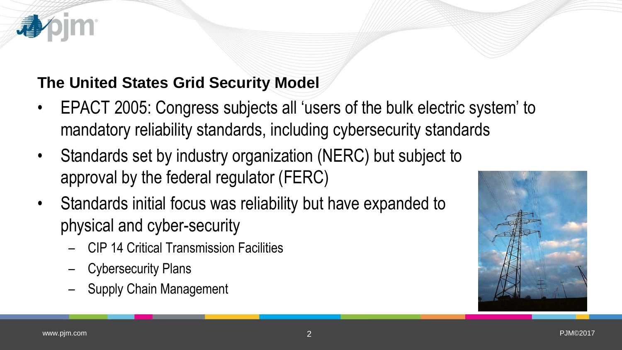

#### **The United States Grid Security Model**

- EPACT 2005: Congress subjects all 'users of the bulk electric system' to mandatory reliability standards, including cybersecurity standards
- Standards set by industry organization (NERC) but subject to approval by the federal regulator (FERC)
- Standards initial focus was reliability but have expanded to physical and cyber-security
	- CIP 14 Critical Transmission Facilities
	- Cybersecurity Plans
	- Supply Chain Management

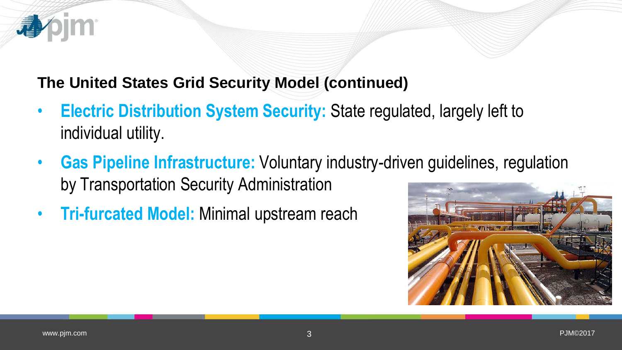

#### **The United States Grid Security Model (continued)**

- **Electric Distribution System Security:** State regulated, largely left to individual utility.
- **Gas Pipeline Infrastructure:** Voluntary industry-driven guidelines, regulation by Transportation Security Administration
- **Tri-furcated Model:** Minimal upstream reach

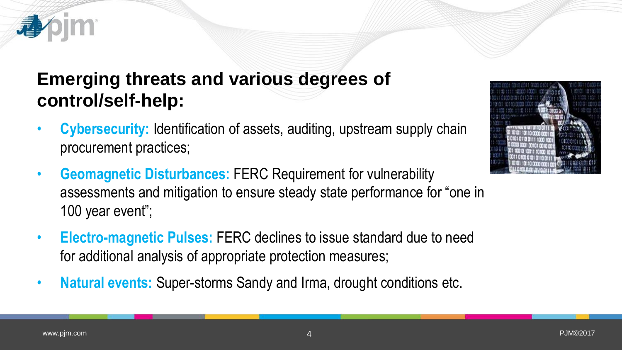### **Emerging threats and various degrees of control/self-help:**

- **Cybersecurity:** Identification of assets, auditing, upstream supply chain procurement practices;
- **Geomagnetic Disturbances:** FERC Requirement for vulnerability assessments and mitigation to ensure steady state performance for "one in 100 year event";
- **Electro-magnetic Pulses:** FERC declines to issue standard due to need for additional analysis of appropriate protection measures;
- **Natural events:** Super-storms Sandy and Irma, drought conditions etc.



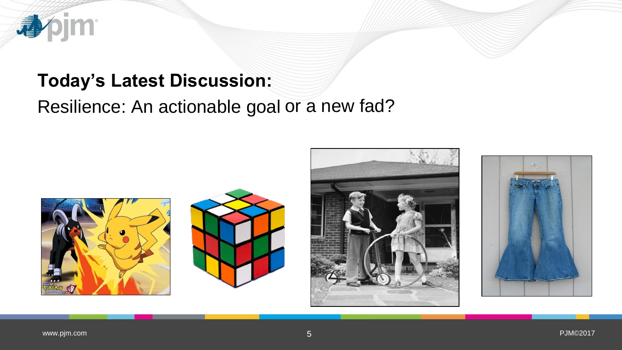

#### **Today's Latest Discussion:**

### Resilience: An actionable goal or a new fad?

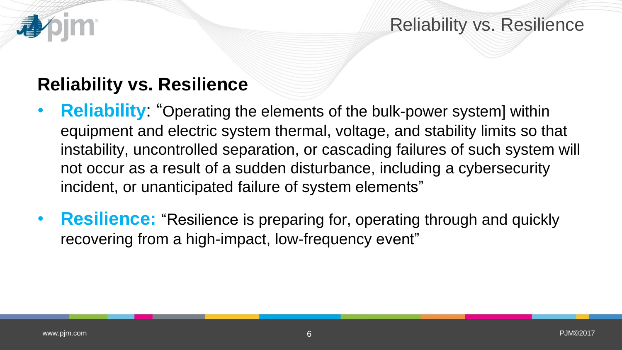#### Reliability vs. Resilience

### **Reliability vs. Resilience**

- **Reliability**: "Operating the elements of the bulk-power system] within equipment and electric system thermal, voltage, and stability limits so that instability, uncontrolled separation, or cascading failures of such system will not occur as a result of a sudden disturbance, including a cybersecurity incident, or unanticipated failure of system elements"
- **Resilience:** "Resilience is preparing for, operating through and quickly recovering from a high-impact, low-frequency event"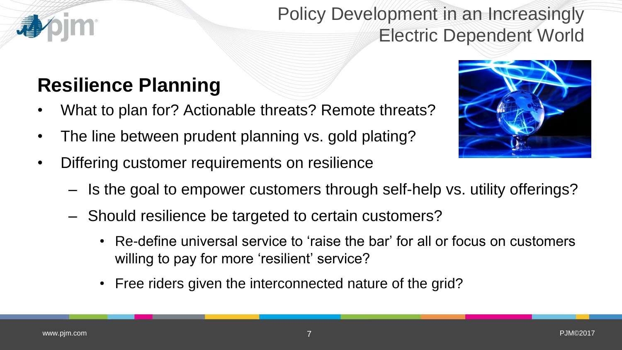### Policy Development in an Increasingly Electric Dependent World

## **Resilience Planning**

- What to plan for? Actionable threats? Remote threats?
- The line between prudent planning vs. gold plating?
- Differing customer requirements on resilience
	- Is the goal to empower customers through self-help vs. utility offerings?
	- Should resilience be targeted to certain customers?
		- Re-define universal service to 'raise the bar' for all or focus on customers willing to pay for more 'resilient' service?
		- Free riders given the interconnected nature of the grid?

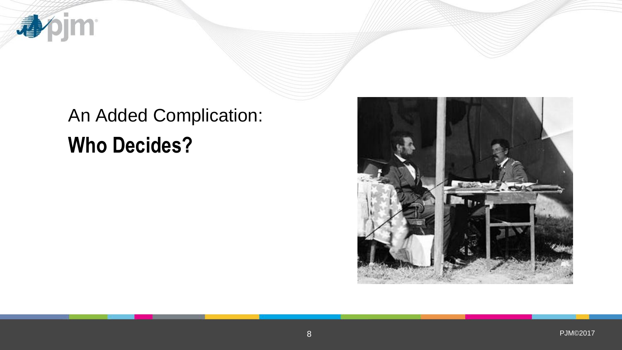

## An Added Complication: **Who Decides?**

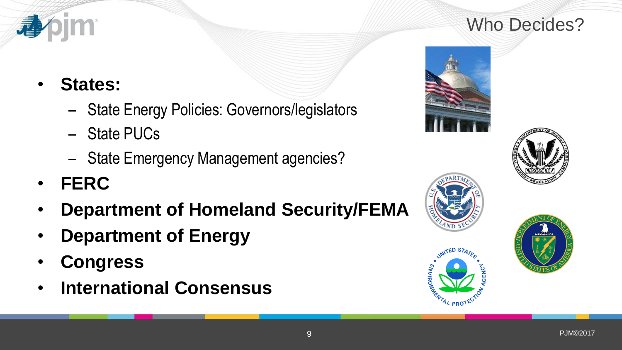## • **States:**

- State Energy Policies: Governors/legislators
- State PUCs
- State Emergency Management agencies?

## • **FERC**

- **Department of Homeland Security/FEMA**
- **Department of Energy**
- **Congress**
- **International Consensus**





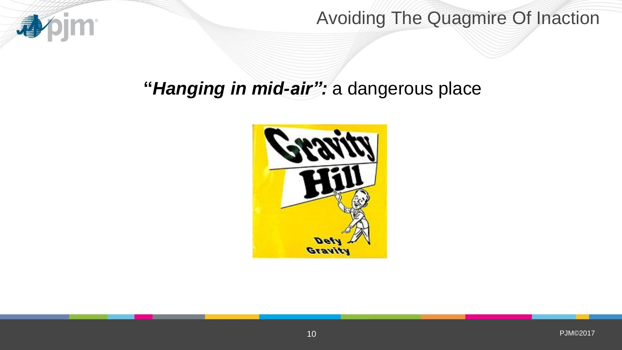

Avoiding The Quagmire Of Inaction

#### **"***Hanging in mid-air":* a dangerous place